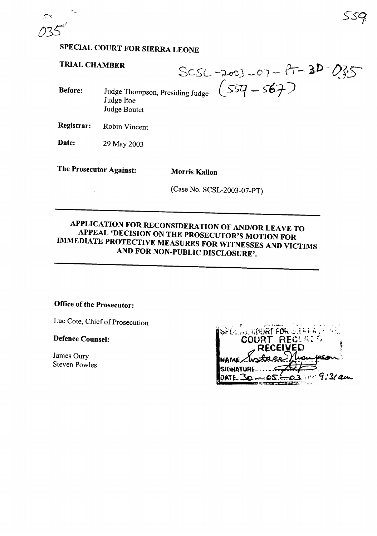# **SPECIAL COURT FOR SIERRA LEONE**

## **TRIAL CHAMBER**

**TRIAL CHAMBER**<br>Before: Judge Thompson, Presiding Judge  $(559 - 567)$ 

Judge Boutet

Judge Itoe

**Registrar:** Robin Vincent

**Date:** <sup>29</sup> May <sup>2003</sup>

**The Prosecutor Against: Morris Kallon**

(Case No. SCSL-2003-07-PT)

## **APPLICATION FOR RECONSIDERATION OF AND/OR LEAVE TO APPEAL 'DECISION ON THE PROSECUTOR'S MOTION FOR IMMEDIATE PROTECTIVE MEASURES FOR WITNESSES AND VICTIMS AND FOR NON-PUBLIC DISCLOSURE'.**

### **Office ofthe Prosecutor:**

Luc Cote, Chief of Prosecution

**Defence Counsel:**

James Oury Steven Powles

| ISPECTAL COURT FOR SERRA LE |  |
|-----------------------------|--|
| <b>COURT RECORDS</b>        |  |
| <b>RECEIVED</b>             |  |
| NAME Workace,               |  |
| <b>SIGNATURE</b>            |  |
| $-05 - 03 = 9.37$ am        |  |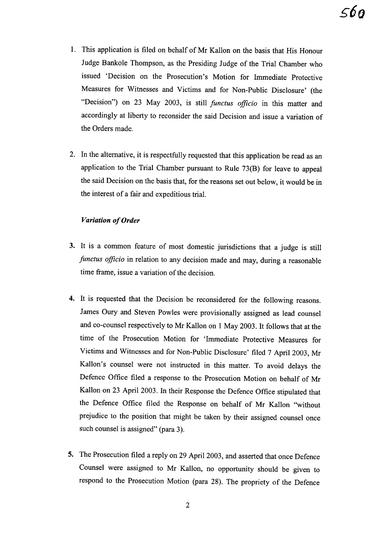- 1. This application is filed on behalf of Mr Kallon on the basis that His Honour Judge Bankole Thompson, as the Presiding Judge of the Trial Chamber who issued 'Decision on the Prosecution's Motion for Immediate Protective Measures for Witnesses and Victims and for Non-Public Disclosure' (the "Decision") on 23 May 2003, is still *functus officio* in this matter and accordingly at liberty to reconsider the said Decision and issue a variation of the Orders made.
- 2. In the alternative, it is respectfully requested that this application be read as an application to the Trial Chamber pursuant to Rule 73(B) for leave to appeal the said Decision on the basis that, for the reasons set out below, it would be in the interest of a fair and expeditious trial.

#### **Variation** of Order

- 3. It is a common feature of most domestic jurisdictions that a judge is still *functus officio* in relation to any decision made and may, during a reasonable time frame, issue a variation of the decision.
- 4. It is requested that the Decision be reconsidered for the following reasons. James Oury and Steven Powles were provisionally assigned as lead counsel and co-counsel respectively to Mr Kallon on 1 May 2003. It follows that at the time of the Prosecution Motion for 'Immediate Protective Measures for Victims and Witnesses and for Non-Public Disclosure' filed 7 April 2003, Mr KaHon's counsel were not instructed in this matter. To avoid delays the Defence Office filed a response to the Prosecution Motion on behalf of Mr Kallon on 23 April 2003. In their Response the Defence Office stipulated that the Defence Office filed the Response on behalf of Mr Kallon "without prejudice to the position that might be taken by their assigned counsel once such counsel is assigned" (para 3).
- 5. The Prosecution filed a reply on 29 April 2003, and asserted that once Defence Counsel were assigned to Mr KaHon, no opportunity should be given to respond to the Prosecution Motion (para 28). The propriety of the Defence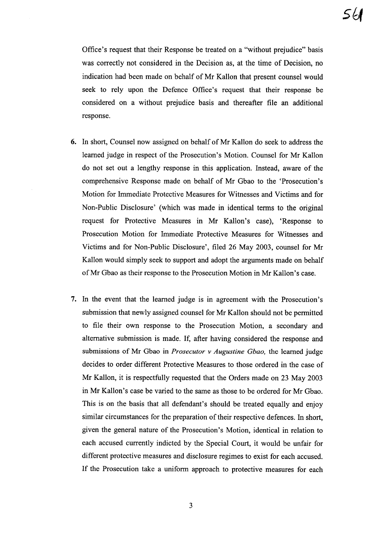Office's request that their Response be treated on a "without prejudice" basis was correctly not considered in the Decision as, at the time of Decision, no indication had been made on behalf of Mr Kallon that present counsel would seek to rely upon the Defence Office's request that their response be considered on a without prejudice basis and thereafter file an additional response.

- **6.** In short, Counsel now assigned on behalf of Mr Kallon do seek to address the learned judge in respect of the Prosecution's Motion. Counsel for Mr Kallon do not set out a lengthy response in this application. Instead, aware of the comprehensive Response made on behalf of Mr Gbao to the 'Prosecution's Motion for Immediate Protective Measures for Witnesses and Victims and for Non-Public Disclosure' (which was made in identical terms to the original request for Protective Measures in Mr Kallon's case), 'Response to Prosecution Motion for Immediate Protective Measures for Witnesses and Victims and for Non-Public Disclosure', filed 26 May 2003, counsel for Mr Kallon would simply seek to support and adopt the arguments made on behalf ofMr Gbao as their response to the Prosecution Motion in Mr Kallon's case.
- **7.** In the event that the learned judge is in agreement with the Prosecution's submission that newly assigned counsel for Mr Kallon should not be permitted to file their own response to the Prosecution Motion, a secondary and alternative submission is made. If, after having considered the response and submissions of Mr Gbao in *Prosecutor* v *Augustine Gbao,* the learned judge decides to order different Protective Measures to those ordered in the case of Mr Kallon, it is respectfully requested that the Orders made on 23 May 2003 in Mr Kallon's case be varied to the same as those to be ordered for Mr Gbao. This is on the basis that all defendant's should be treated equally and enjoy similar circumstances for the preparation of their respective defences. In short, given the general nature of the Prosecution's Motion, identical in relation to each accused currently indicted by the Special Court, it would be unfair for different protective measures and disclosure regimes to exist for each accused. If the Prosecution take a uniform approach to protective measures for each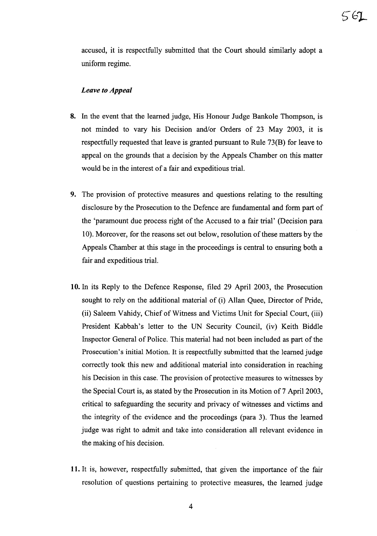accused, it is respectfully submitted that the Court should similarly adopt a uniform regime.

#### *Leave to Appeal*

- 8. In the event that the learned judge, His Honour Judge Bankole Thompson, is not minded to vary his Decision and/or Orders of 23 May 2003, it is respectfully requested that leave is granted pursuant to Rule 73(B) for leave to appeal on the grounds that a decision by the Appeals Chamber on this matter would be in the interest of a fair and expeditious trial.
- 9. The provision of protective measures and questions relating to the resulting disclosure by the Prosecution to the Defence are fundamental and form part of the 'paramount due process right of the Accused to a fair trial' (Decision para 10). Moreover, for the reasons set out below, resolution of these matters by the Appeals Chamber at this stage in the proceedings is central to ensuring both a fair and expeditious trial.
- 10. In its Reply to the Defence Response, filed 29 April 2003, the Prosecution sought to rely on the additional material of (i) Allan Quee, Director of Pride, (ii) Saleem Vahidy, Chief of Witness and Victims Unit for Special Court, (iii) President Kabbah's letter to the UN Security Council, (iv) Keith Biddle Inspector General of Police. This material had not been included as part of the Prosecution's initial Motion. It is respectfully submitted that the learned judge correctly took this new and additional material into consideration in reaching his Decision in this case. The provision of protective measures to witnesses by the Special Court is, as stated by the Prosecution in its Motion of 7 April 2003, critical to safeguarding the security and privacy of witnesses and victims and the integrity of the evidence and the proceedings (para 3). Thus the learned judge was right to admit and take into consideration all relevant evidence in the making of his decision.
- 11. It is, however, respectfully submitted, that given the importance of the fair resolution of questions pertaining to protective measures, the learned judge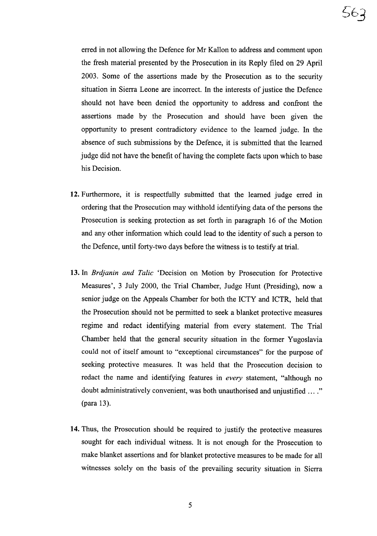erred in not allowing the Defence for Mr Kallon to address and comment upon the fresh material presented by the Prosecution in its Reply filed on 29 April 2003. Some of the assertions made by the Prosecution as to the security situation in Sierra Leone are incorrect. In the interests of justice the Defence should not have been denied the opportunity to address and confront the assertions made by the Prosecution and should have been given the opportunity to present contradictory evidence to the learned judge. In the absence of such submissions by the Defence, it is submitted that the learned judge did not have the benefit of having the complete facts upon which to base his Decision.

- 12. Furthermore, it is respectfully submitted that the learned judge erred in ordering that the Prosecution may withhold identifying data of the persons the Prosecution is seeking protection as set forth in paragraph 16 of the Motion and any other information which could lead to the identity of such a person to the Defence, until forty-two days before the witness is to testify at trial.
- 13. In *Brdjanin and Talic* 'Decision on Motion by Prosecution for Protective Measures', 3 July 2000, the Trial Chamber, Judge Hunt (Presiding), now a senior judge on the Appeals Chamber for both the ICTY and ICTR, held that the Prosecution should not be permitted to seek a blanket protective measures regime and redact identifying material from every statement. The Trial Chamber held that the general security situation in the former Yugoslavia could not of itself amount to "exceptional circumstances" for the purpose of seeking protective measures. It was held that the Prosecution decision to redact the name and identifying features in *every* statement, "although no doubt administratively convenient, was both unauthorised and unjustified ...." (para 13).
- 14. Thus, the Prosecution should be required to justify the protective measures sought for each individual witness. It is not enough for the Prosecution to make blanket assertions and for blanket protective measures to be made for all witnesses solely on the basis of the prevailing security situation in Sierra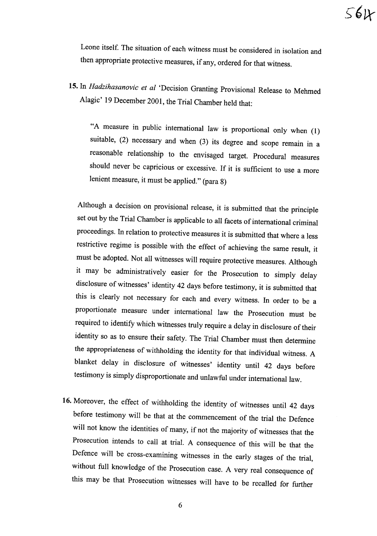Leone itself. The situation of each witness must be considered in isolation and then appropriate protective measures, if any, ordered for that witness.

**15.** In *Hadzihasanovic et at* 'Decision Granting Provisional Release to Mehmed Alagic' <sup>19</sup> December 2001, the Trial Chamber held that:

"A measure in public international law is proportional only when (1) suitable, (2) necessary and when (3) its degree and scope remain in <sup>a</sup> reasonable relationship to the envisaged target. Procedural measures should never be capricious or excessive. If it is sufficient to use <sup>a</sup> more lenient measure, it must be applied." (para 8)

Although <sup>a</sup> decision on provisional release, it is submitted that the principle set out by the Trial Chamber is applicable to all facets of international criminal proceedings. In relation to protective measures it is submitted that where <sup>a</sup> less restrictive regime is possible with the effect of achieving the same result, it must be adopted. Not all witnesses will require protective measures. Although it may be administratively easier for the Prosecution to simply delay disclosure of witnesses' identity <sup>42</sup> days before testimony, it is submitted that this is clearly not necessary for each and every witness. In order to be <sup>a</sup> proportionate measure under international law the Prosecution must be required to identify which witnesses truly require a delay in disclosure of their identity so as to ensure their safety. The Trial Chamber must then determine the appropriateness of withholding the identity for that individual witness. <sup>A</sup> blanket delay in disclosure of witnesses' identity until <sup>42</sup> days before testimony is simply disproportionate and unlawful under international law.

**16.** Moreover, the effect of withholding the identity of witnesses until <sup>42</sup> days before testimony will be that at the commencement of the trial the Defence will not know the identities of many, if not the majority of witnesses that the Prosecution intends to call at trial. <sup>A</sup> consequence of this will be that the Defence will be cross-examining witnesses in the early stages of the trial, without full knowledge of the Prosecution case. <sup>A</sup> very real consequence of this may be that Prosecution witnesses will have to be recalled for further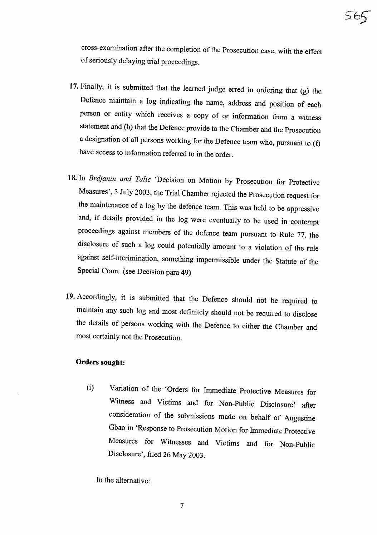cross-examination after the completion of the Prosecution case, with the effect of seriously delaying trial proceedings.

- **17.** Finally, it is submitted that the learned judge erred in ordering that (g) the Defence maintain <sup>a</sup> log indicating the name, address and position of each person or entity which receives <sup>a</sup> copy of or information from <sup>a</sup> witness statement and (h) that the Defence provide to the Chamber and the Prosecution <sup>a</sup> designation of all persons working for the Defence team who, pursuant to (f) have access to information referred to in the order.
- **18.** In *Brdjanin and Talic* 'Decision on Motion by Prosecution for Protective Measures', <sup>3</sup> July 2003, the Trial Chamber rejected the Prosecution request for the maintenance of <sup>a</sup> log by the defence team. This was held to be oppressive and, if details provided in the log were eventually to be used in contempt proceedings against members of the defence team pursuant to Rule 77, the disclosure of such <sup>a</sup> log could potentially amount to <sup>a</sup> violation of the rule against self-incrimination, something impermissible under the Statute of the Special Court. (see Decision para 49)
- **19.** Accordingly, it is submitted that the Defence should not be required to maintain any such log and most definitely should not be required to disclose the details of persons working with the Defence to either the Chamber and most certainly not the Prosecution.

#### **Orders sought:**

(i) Variation of the 'Orders for Immediate Protective Measures for Witness and Victims and for Non-Public Disclosure' after consideration of the submissions made on behalf of Augustine Gbao in 'Response to Prosecution Motion for Immediate Protective Measures for Witnesses and Victims and for Non-Public Disclosure', filed <sup>26</sup> May 2003.

In the alternative: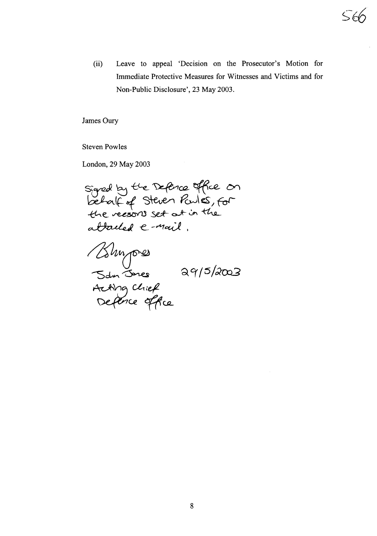(ii) Leave to appeal 'Decision on the Prosecutor's Motion for Immediate Protective Measures for Witnesses and Victims and for Non-Public Disclosure', 23 May 2003.

James Oury

Steven Powles

London, 29 May 2003

staned by the Defence office on  $|S$  *Debal(of Steven Powles* the reasons set at in the attached  $e$ -mail.

Blumpres<br>San Junes 29/5/2003<br>Acting chief<br>Defence office